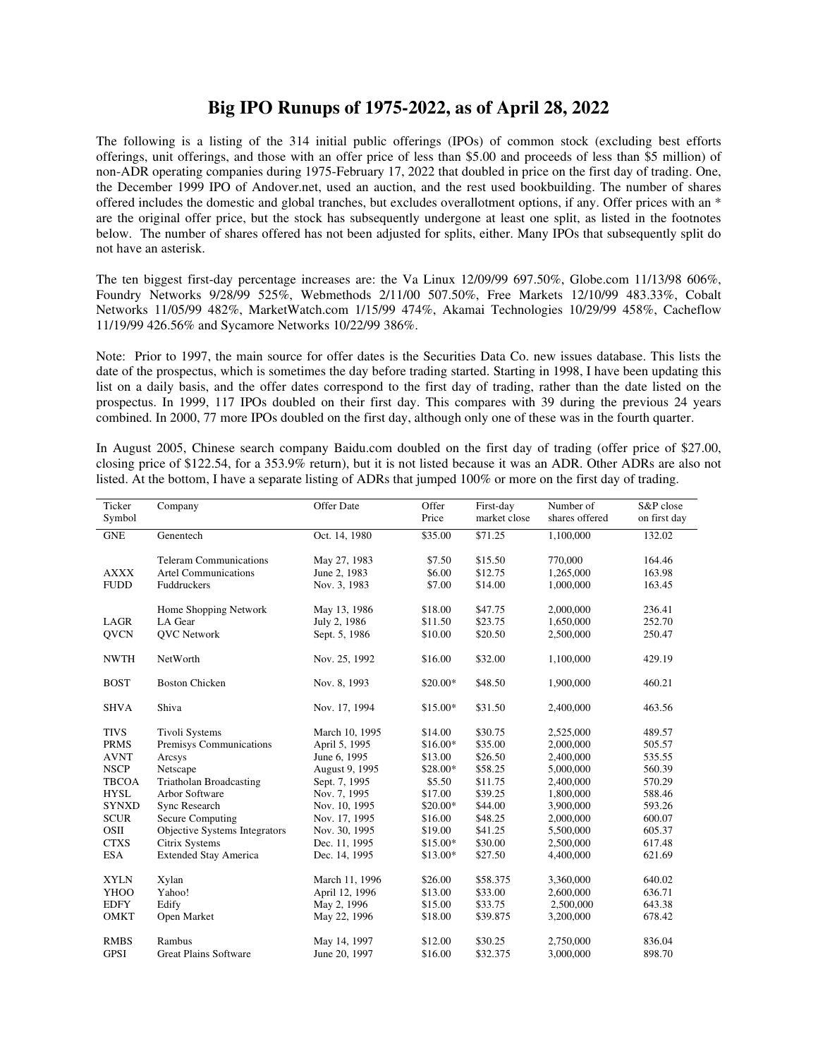## **Big IPO Runups of 1975-2022, as of April 28, 2022**

The following is a listing of the 314 initial public offerings (IPOs) of common stock (excluding best efforts offerings, unit offerings, and those with an offer price of less than \$5.00 and proceeds of less than \$5 million) of non-ADR operating companies during 1975-February 17, 2022 that doubled in price on the first day of trading. One, the December 1999 IPO of Andover.net, used an auction, and the rest used bookbuilding. The number of shares offered includes the domestic and global tranches, but excludes overallotment options, if any. Offer prices with an \* are the original offer price, but the stock has subsequently undergone at least one split, as listed in the footnotes below. The number of shares offered has not been adjusted for splits, either. Many IPOs that subsequently split do not have an asterisk.

The ten biggest first-day percentage increases are: the Va Linux 12/09/99 697.50%, Globe.com 11/13/98 606%, Foundry Networks 9/28/99 525%, Webmethods 2/11/00 507.50%, Free Markets 12/10/99 483.33%, Cobalt Networks 11/05/99 482%, MarketWatch.com 1/15/99 474%, Akamai Technologies 10/29/99 458%, Cacheflow 11/19/99 426.56% and Sycamore Networks 10/22/99 386%.

Note: Prior to 1997, the main source for offer dates is the Securities Data Co. new issues database. This lists the date of the prospectus, which is sometimes the day before trading started. Starting in 1998, I have been updating this list on a daily basis, and the offer dates correspond to the first day of trading, rather than the date listed on the prospectus. In 1999, 117 IPOs doubled on their first day. This compares with 39 during the previous 24 years combined. In 2000, 77 more IPOs doubled on the first day, although only one of these was in the fourth quarter.

In August 2005, Chinese search company Baidu.com doubled on the first day of trading (offer price of \$27.00, closing price of \$122.54, for a 353.9% return), but it is not listed because it was an ADR. Other ADRs are also not listed. At the bottom, I have a separate listing of ADRs that jumped 100% or more on the first day of trading.

| Ticker<br>Symbol                                                                                                                                            | Company                                                                                                                                                                                                                                     | Offer Date                                                                                                                                                                              | Offer<br>Price                                                                                                              | First-day<br>market close                                                                                             | Number of<br>shares offered                                                                                                                 | S&P close<br>on first day                                                                                  |
|-------------------------------------------------------------------------------------------------------------------------------------------------------------|---------------------------------------------------------------------------------------------------------------------------------------------------------------------------------------------------------------------------------------------|-----------------------------------------------------------------------------------------------------------------------------------------------------------------------------------------|-----------------------------------------------------------------------------------------------------------------------------|-----------------------------------------------------------------------------------------------------------------------|---------------------------------------------------------------------------------------------------------------------------------------------|------------------------------------------------------------------------------------------------------------|
| <b>GNE</b>                                                                                                                                                  | Genentech                                                                                                                                                                                                                                   | Oct. 14, 1980                                                                                                                                                                           | \$35.00                                                                                                                     | \$71.25                                                                                                               | 1,100,000                                                                                                                                   | 132.02                                                                                                     |
| <b>AXXX</b><br><b>FUDD</b>                                                                                                                                  | <b>Teleram Communications</b><br><b>Artel Communications</b><br>Fuddruckers                                                                                                                                                                 | May 27, 1983<br>June 2, 1983<br>Nov. 3, 1983                                                                                                                                            | \$7.50<br>\$6.00<br>\$7.00                                                                                                  | \$15.50<br>\$12.75<br>\$14.00                                                                                         | 770,000<br>1,265,000<br>1,000,000                                                                                                           | 164.46<br>163.98<br>163.45                                                                                 |
| LAGR<br><b>QVCN</b>                                                                                                                                         | Home Shopping Network<br>LA Gear<br><b>QVC</b> Network                                                                                                                                                                                      | May 13, 1986<br>July 2, 1986<br>Sept. 5, 1986                                                                                                                                           | \$18.00<br>\$11.50<br>\$10.00                                                                                               | \$47.75<br>\$23.75<br>\$20.50                                                                                         | 2,000,000<br>1,650,000<br>2,500,000                                                                                                         | 236.41<br>252.70<br>250.47                                                                                 |
| <b>NWTH</b>                                                                                                                                                 | NetWorth                                                                                                                                                                                                                                    | Nov. 25, 1992                                                                                                                                                                           | \$16.00                                                                                                                     | \$32.00                                                                                                               | 1,100,000                                                                                                                                   | 429.19                                                                                                     |
| <b>BOST</b>                                                                                                                                                 | <b>Boston Chicken</b>                                                                                                                                                                                                                       | Nov. 8, 1993                                                                                                                                                                            | \$20.00*                                                                                                                    | \$48.50                                                                                                               | 1,900,000                                                                                                                                   | 460.21                                                                                                     |
| <b>SHVA</b>                                                                                                                                                 | Shiva                                                                                                                                                                                                                                       | Nov. 17, 1994                                                                                                                                                                           | \$15.00*                                                                                                                    | \$31.50                                                                                                               | 2,400,000                                                                                                                                   | 463.56                                                                                                     |
| <b>TIVS</b><br><b>PRMS</b><br><b>AVNT</b><br><b>NSCP</b><br><b>TBCOA</b><br><b>HYSL</b><br><b>SYNXD</b><br><b>SCUR</b><br>OSII<br><b>CTXS</b><br><b>ESA</b> | Tivoli Systems<br>Premisys Communications<br>Arcsys<br>Netscape<br><b>Triatholan Broadcasting</b><br>Arbor Software<br>Sync Research<br>Secure Computing<br>Objective Systems Integrators<br>Citrix Systems<br><b>Extended Stay America</b> | March 10, 1995<br>April 5, 1995<br>June 6, 1995<br>August 9, 1995<br>Sept. 7, 1995<br>Nov. 7, 1995<br>Nov. 10, 1995<br>Nov. 17, 1995<br>Nov. 30, 1995<br>Dec. 11, 1995<br>Dec. 14, 1995 | \$14.00<br>$$16.00*$<br>\$13.00<br>\$28.00*<br>\$5.50<br>\$17.00<br>\$20.00*<br>\$16.00<br>\$19.00<br>$$15.00*$<br>\$13.00* | \$30.75<br>\$35.00<br>\$26.50<br>\$58.25<br>\$11.75<br>\$39.25<br>\$44.00<br>\$48.25<br>\$41.25<br>\$30.00<br>\$27.50 | 2,525,000<br>2,000,000<br>2,400,000<br>5,000,000<br>2,400,000<br>1,800,000<br>3,900,000<br>2,000,000<br>5,500,000<br>2,500,000<br>4,400,000 | 489.57<br>505.57<br>535.55<br>560.39<br>570.29<br>588.46<br>593.26<br>600.07<br>605.37<br>617.48<br>621.69 |
| <b>XYLN</b><br><b>YHOO</b><br><b>EDFY</b><br><b>OMKT</b>                                                                                                    | Xylan<br>Yahoo!<br>Edify<br>Open Market                                                                                                                                                                                                     | March 11, 1996<br>April 12, 1996<br>May 2, 1996<br>May 22, 1996                                                                                                                         | \$26.00<br>\$13.00<br>\$15.00<br>\$18.00                                                                                    | \$58.375<br>\$33.00<br>\$33.75<br>\$39.875                                                                            | 3,360,000<br>2,600,000<br>2,500,000<br>3,200,000                                                                                            | 640.02<br>636.71<br>643.38<br>678.42                                                                       |
| <b>RMBS</b><br><b>GPSI</b>                                                                                                                                  | Rambus<br><b>Great Plains Software</b>                                                                                                                                                                                                      | May 14, 1997<br>June 20, 1997                                                                                                                                                           | \$12.00<br>\$16.00                                                                                                          | \$30.25<br>\$32.375                                                                                                   | 2,750,000<br>3,000,000                                                                                                                      | 836.04<br>898.70                                                                                           |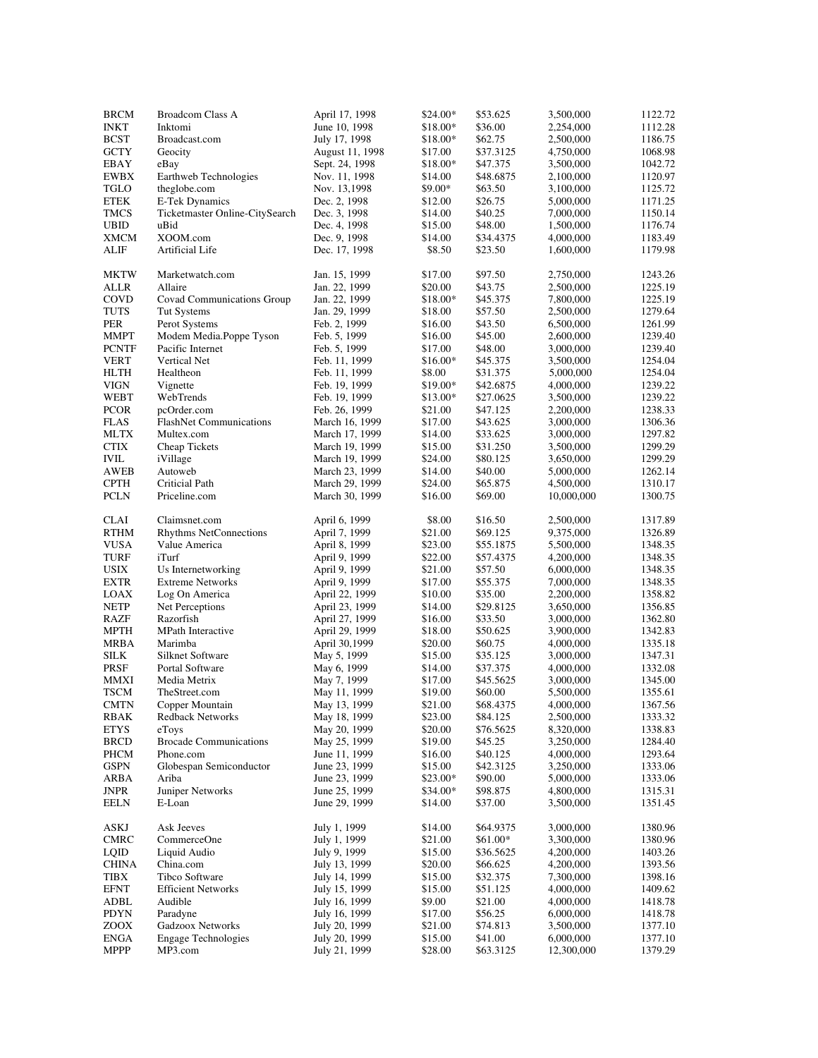| <b>BRCM</b>  | <b>Broadcom Class A</b>           | April 17, 1998  | \$24.00*  | \$53.625  | 3,500,000  | 1122.72 |
|--------------|-----------------------------------|-----------------|-----------|-----------|------------|---------|
| <b>INKT</b>  | Inktomi                           | June 10, 1998   | \$18.00*  | \$36.00   | 2,254,000  | 1112.28 |
| <b>BCST</b>  | Broadcast.com                     | July 17, 1998   | \$18.00*  | \$62.75   | 2,500,000  | 1186.75 |
| <b>GCTY</b>  | Geocity                           | August 11, 1998 | \$17.00   | \$37.3125 | 4,750,000  | 1068.98 |
|              |                                   |                 |           |           |            |         |
| EBAY         | eBay                              | Sept. 24, 1998  | \$18.00*  | \$47.375  | 3,500,000  | 1042.72 |
| EWBX         | Earthweb Technologies             | Nov. 11, 1998   | \$14.00   | \$48.6875 | 2,100,000  | 1120.97 |
| TGLO         | theglobe.com                      | Nov. 13,1998    | \$9.00*   | \$63.50   | 3,100,000  | 1125.72 |
| <b>ETEK</b>  | E-Tek Dynamics                    | Dec. 2, 1998    | \$12.00   | \$26.75   | 5,000,000  | 1171.25 |
| <b>TMCS</b>  | Ticketmaster Online-CitySearch    | Dec. 3, 1998    | \$14.00   | \$40.25   | 7,000,000  | 1150.14 |
| <b>UBID</b>  | uBid                              | Dec. 4, 1998    | \$15.00   | \$48.00   | 1,500,000  | 1176.74 |
| <b>XMCM</b>  | XOOM.com                          | Dec. 9, 1998    | \$14.00   | \$34.4375 | 4,000,000  | 1183.49 |
| <b>ALIF</b>  | Artificial Life                   | Dec. 17, 1998   | \$8.50    | \$23.50   | 1,600,000  | 1179.98 |
|              |                                   |                 |           |           |            |         |
| MKTW         | Marketwatch.com                   | Jan. 15, 1999   | \$17.00   | \$97.50   | 2,750,000  | 1243.26 |
| ALLR         | Allaire                           | Jan. 22, 1999   | \$20.00   | \$43.75   | 2,500,000  | 1225.19 |
| COVD         | <b>Covad Communications Group</b> | Jan. 22, 1999   | \$18.00*  | \$45.375  | 7,800,000  | 1225.19 |
| <b>TUTS</b>  | Tut Systems                       | Jan. 29, 1999   | \$18.00   | \$57.50   | 2,500,000  | 1279.64 |
| <b>PER</b>   | Perot Systems                     | Feb. 2, 1999    | \$16.00   | \$43.50   | 6,500,000  | 1261.99 |
| MMPT         | Modem Media.Poppe Tyson           | Feb. 5, 1999    | \$16.00   | \$45.00   | 2,600,000  | 1239.40 |
| <b>PCNTF</b> | Pacific Internet                  | Feb. 5, 1999    | \$17.00   | \$48.00   | 3,000,000  | 1239.40 |
| <b>VERT</b>  | Vertical Net                      | Feb. 11, 1999   | \$16.00*  | \$45.375  | 3,500,000  | 1254.04 |
|              |                                   |                 |           |           |            |         |
| HLTH         | Healtheon                         | Feb. 11, 1999   | \$8.00    | \$31.375  | 5,000,000  | 1254.04 |
| <b>VIGN</b>  | Vignette                          | Feb. 19, 1999   | \$19.00*  | \$42.6875 | 4,000,000  | 1239.22 |
| <b>WEBT</b>  | WebTrends                         | Feb. 19, 1999   | $$13.00*$ | \$27.0625 | 3,500,000  | 1239.22 |
| <b>PCOR</b>  | pcOrder.com                       | Feb. 26, 1999   | \$21.00   | \$47.125  | 2,200,000  | 1238.33 |
| <b>FLAS</b>  | <b>FlashNet Communications</b>    | March 16, 1999  | \$17.00   | \$43.625  | 3,000,000  | 1306.36 |
| <b>MLTX</b>  | Multex.com                        | March 17, 1999  | \$14.00   | \$33.625  | 3,000,000  | 1297.82 |
| <b>CTIX</b>  | Cheap Tickets                     | March 19, 1999  | \$15.00   | \$31.250  | 3,500,000  | 1299.29 |
| <b>IVIL</b>  | iVillage                          | March 19, 1999  | \$24.00   | \$80.125  | 3,650,000  | 1299.29 |
| AWEB         | Autoweb                           | March 23, 1999  | \$14.00   | \$40.00   | 5,000,000  | 1262.14 |
| <b>CPTH</b>  | Criticial Path                    | March 29, 1999  | \$24.00   | \$65.875  | 4,500,000  | 1310.17 |
| <b>PCLN</b>  |                                   |                 |           | \$69.00   |            |         |
|              | Priceline.com                     | March 30, 1999  | \$16.00   |           | 10,000,000 | 1300.75 |
| <b>CLAI</b>  | Claimsnet.com                     | April 6, 1999   | \$8.00    | \$16.50   | 2,500,000  | 1317.89 |
| RTHM         | <b>Rhythms NetConnections</b>     | April 7, 1999   | \$21.00   | \$69.125  | 9,375,000  | 1326.89 |
| <b>VUSA</b>  |                                   |                 |           |           |            |         |
|              | Value America                     | April 8, 1999   | \$23.00   | \$55.1875 | 5,500,000  | 1348.35 |
| TURF         | iTurf                             | April 9, 1999   | \$22.00   | \$57.4375 | 4,200,000  | 1348.35 |
| USIX         | Us Internetworking                | April 9, 1999   | \$21.00   | \$57.50   | 6,000,000  | 1348.35 |
| <b>EXTR</b>  | <b>Extreme Networks</b>           | April 9, 1999   | \$17.00   | \$55.375  | 7,000,000  | 1348.35 |
| LOAX         | Log On America                    | April 22, 1999  | \$10.00   | \$35.00   | 2,200,000  | 1358.82 |
| <b>NETP</b>  | Net Perceptions                   | April 23, 1999  | \$14.00   | \$29.8125 | 3,650,000  | 1356.85 |
| <b>RAZF</b>  | Razorfish                         | April 27, 1999  | \$16.00   | \$33.50   | 3,000,000  | 1362.80 |
| <b>MPTH</b>  | <b>MPath Interactive</b>          | April 29, 1999  | \$18.00   | \$50.625  | 3,900,000  | 1342.83 |
| MRBA         | Marimba                           | April 30,1999   | \$20.00   | \$60.75   | 4,000,000  | 1335.18 |
| SILK         | Silknet Software                  | May 5, 1999     | \$15.00   | \$35.125  | 3,000,000  | 1347.31 |
| PRSF         | Portal Software                   | May 6, 1999     | \$14.00   | \$37.375  | 4,000,000  | 1332.08 |
| MMXI         | Media Metrix                      | May 7, 1999     | \$17.00   | \$45.5625 | 3,000,000  | 1345.00 |
| <b>TSCM</b>  | TheStreet.com                     | May 11, 1999    | \$19.00   | \$60.00   | 5,500,000  | 1355.61 |
|              |                                   |                 |           |           |            |         |
| <b>CMTN</b>  | Copper Mountain                   | May 13, 1999    | \$21.00   | \$68.4375 | 4,000,000  | 1367.56 |
| RBAK         | <b>Redback Networks</b>           | May 18, 1999    | \$23.00   | \$84.125  | 2,500,000  | 1333.32 |
| <b>ETYS</b>  | eToys                             | May 20, 1999    | \$20.00   | \$76.5625 | 8,320,000  | 1338.83 |
| <b>BRCD</b>  | <b>Brocade Communications</b>     | May 25, 1999    | \$19.00   | \$45.25   | 3,250,000  | 1284.40 |
| PHCM         | Phone.com                         | June 11, 1999   | \$16.00   | \$40.125  | 4,000,000  | 1293.64 |
| <b>GSPN</b>  | Globespan Semiconductor           | June 23, 1999   | \$15.00   | \$42.3125 | 3,250,000  | 1333.06 |
| ARBA         | Ariba                             | June 23, 1999   | $$23.00*$ | \$90.00   | 5,000,000  | 1333.06 |
| <b>JNPR</b>  | Juniper Networks                  | June 25, 1999   | \$34.00*  | \$98.875  | 4,800,000  | 1315.31 |
| <b>EELN</b>  | E-Loan                            | June 29, 1999   | \$14.00   | \$37.00   | 3,500,000  | 1351.45 |
|              |                                   |                 |           |           |            |         |
| ASKJ         | Ask Jeeves                        | July 1, 1999    | \$14.00   | \$64.9375 | 3,000,000  | 1380.96 |
| <b>CMRC</b>  | CommerceOne                       | July 1, 1999    | \$21.00   | \$61.00*  | 3,300,000  | 1380.96 |
| LQID         | Liquid Audio                      | July 9, 1999    | \$15.00   | \$36.5625 | 4,200,000  | 1403.26 |
| <b>CHINA</b> | China.com                         | July 13, 1999   | \$20.00   | \$66.625  | 4,200,000  | 1393.56 |
| TIBX         | Tibco Software                    | July 14, 1999   | \$15.00   | \$32.375  | 7,300,000  | 1398.16 |
| <b>EFNT</b>  | <b>Efficient Networks</b>         |                 | \$15.00   | \$51.125  | 4,000,000  | 1409.62 |
|              |                                   | July 15, 1999   |           |           |            |         |
| ADBL         | Audible                           | July 16, 1999   | \$9.00    | \$21.00   | 4,000,000  | 1418.78 |
| PDYN         | Paradyne                          | July 16, 1999   | \$17.00   | \$56.25   | 6,000,000  | 1418.78 |
| ZOOX         | Gadzoox Networks                  | July 20, 1999   | \$21.00   | \$74.813  | 3,500,000  | 1377.10 |
| <b>ENGA</b>  | <b>Engage Technologies</b>        | July 20, 1999   | \$15.00   | \$41.00   | 6,000,000  | 1377.10 |
| <b>MPPP</b>  | MP3.com                           | July 21, 1999   | \$28.00   | \$63.3125 | 12,300,000 | 1379.29 |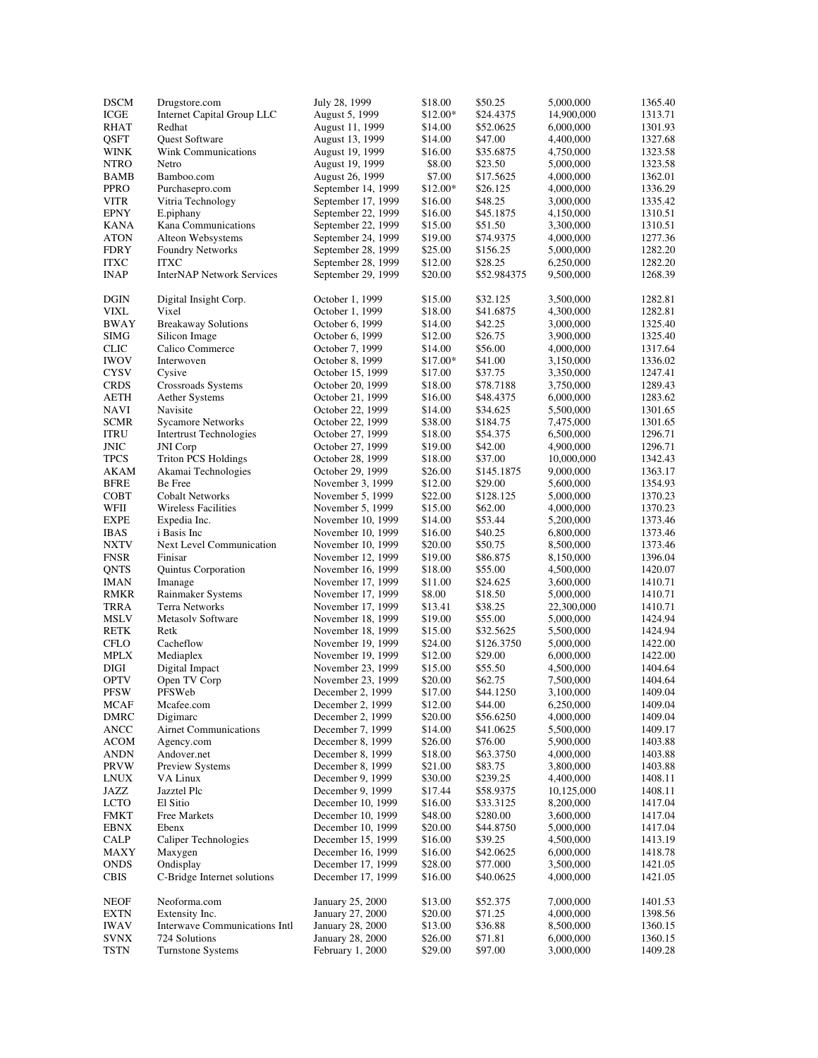| <b>DSCM</b> | Drugstore.com                    | July 28, 1999      | \$18.00  | \$50.25     | 5,000,000  | 1365.40 |
|-------------|----------------------------------|--------------------|----------|-------------|------------|---------|
| ICGE        | Internet Capital Group LLC       | August 5, 1999     | \$12.00* | \$24.4375   | 14,900,000 | 1313.71 |
| <b>RHAT</b> | Redhat                           | August 11, 1999    | \$14.00  | \$52.0625   | 6,000,000  | 1301.93 |
| QSFT        | Quest Software                   | August 13, 1999    | \$14.00  | \$47.00     | 4,400,000  | 1327.68 |
| <b>WINK</b> | Wink Communications              | August 19, 1999    | \$16.00  | \$35.6875   | 4,750,000  | 1323.58 |
| <b>NTRO</b> | Netro                            |                    |          |             |            |         |
|             |                                  | August 19, 1999    | \$8.00   | \$23.50     | 5,000,000  | 1323.58 |
| BAMB        | Bamboo.com                       | August 26, 1999    | \$7.00   | \$17.5625   | 4,000,000  | 1362.01 |
| <b>PPRO</b> | Purchasepro.com                  | September 14, 1999 | \$12.00* | \$26.125    | 4,000,000  | 1336.29 |
| <b>VITR</b> | Vitria Technology                | September 17, 1999 | \$16.00  | \$48.25     | 3,000,000  | 1335.42 |
| <b>EPNY</b> | E.piphany                        | September 22, 1999 | \$16.00  | \$45.1875   | 4,150,000  | 1310.51 |
| <b>KANA</b> | Kana Communications              | September 22, 1999 | \$15.00  | \$51.50     | 3,300,000  | 1310.51 |
| <b>ATON</b> | Alteon Websystems                | September 24, 1999 | \$19.00  | \$74.9375   | 4,000,000  | 1277.36 |
| <b>FDRY</b> | <b>Foundry Networks</b>          | September 28, 1999 | \$25.00  | \$156.25    | 5,000,000  | 1282.20 |
| <b>ITXC</b> | <b>ITXC</b>                      | September 28, 1999 | \$12.00  | \$28.25     | 6,250,000  | 1282.20 |
| <b>INAP</b> | <b>InterNAP Network Services</b> | September 29, 1999 | \$20.00  | \$52.984375 | 9,500,000  | 1268.39 |
|             |                                  |                    |          |             |            |         |
| <b>DGIN</b> |                                  | October 1, 1999    | \$15.00  | \$32.125    | 3,500,000  | 1282.81 |
|             | Digital Insight Corp.            |                    |          |             |            |         |
| <b>VIXL</b> | Vixel                            | October 1, 1999    | \$18.00  | \$41.6875   | 4,300,000  | 1282.81 |
| <b>BWAY</b> | <b>Breakaway Solutions</b>       | October 6, 1999    | \$14.00  | \$42.25     | 3,000,000  | 1325.40 |
| <b>SIMG</b> | Silicon Image                    | October 6, 1999    | \$12.00  | \$26.75     | 3,900,000  | 1325.40 |
| <b>CLIC</b> | Calico Commerce                  | October 7, 1999    | \$14.00  | \$56.00     | 4,000,000  | 1317.64 |
| <b>IWOV</b> | Interwoven                       | October 8, 1999    | \$17.00* | \$41.00     | 3,150,000  | 1336.02 |
| <b>CYSV</b> | Cysive                           | October 15, 1999   | \$17.00  | \$37.75     | 3,350,000  | 1247.41 |
| <b>CRDS</b> | Crossroads Systems               | October 20, 1999   | \$18.00  | \$78.7188   | 3,750,000  | 1289.43 |
| <b>AETH</b> | <b>Aether Systems</b>            | October 21, 1999   | \$16.00  | \$48.4375   | 6,000,000  | 1283.62 |
|             |                                  |                    |          |             |            |         |
| <b>NAVI</b> | Navisite                         | October 22, 1999   | \$14.00  | \$34.625    | 5,500,000  | 1301.65 |
| <b>SCMR</b> | <b>Sycamore Networks</b>         | October 22, 1999   | \$38.00  | \$184.75    | 7,475,000  | 1301.65 |
| ITRU        | <b>Intertrust Technologies</b>   | October 27, 1999   | \$18.00  | \$54.375    | 6,500,000  | 1296.71 |
| JNIC        | <b>JNI</b> Corp                  | October 27, 1999   | \$19.00  | \$42.00     | 4,900,000  | 1296.71 |
| <b>TPCS</b> | <b>Triton PCS Holdings</b>       | October 28, 1999   | \$18.00  | \$37.00     | 10,000,000 | 1342.43 |
| AKAM        | Akamai Technologies              | October 29, 1999   | \$26.00  | \$145.1875  | 9,000,000  | 1363.17 |
| <b>BFRE</b> | Be Free                          | November 3, 1999   | \$12.00  | \$29.00     | 5,600,000  | 1354.93 |
| COBT        | <b>Cobalt Networks</b>           | November 5, 1999   | \$22.00  | \$128.125   | 5,000,000  | 1370.23 |
| WFII        | <b>Wireless Facilities</b>       | November 5, 1999   | \$15.00  | \$62.00     | 4,000,000  | 1370.23 |
| <b>EXPE</b> | Expedia Inc.                     | November 10, 1999  | \$14.00  | \$53.44     | 5,200,000  | 1373.46 |
|             |                                  |                    |          |             |            |         |
| <b>IBAS</b> | i Basis Inc                      | November 10, 1999  | \$16.00  | \$40.25     | 6,800,000  | 1373.46 |
| <b>NXTV</b> | Next Level Communication         | November 10, 1999  | \$20.00  | \$50.75     | 8,500,000  | 1373.46 |
| <b>FNSR</b> | Finisar                          | November 12, 1999  | \$19.00  | \$86.875    | 8,150,000  | 1396.04 |
| QNTS        | Quintus Corporation              | November 16, 1999  | \$18.00  | \$55.00     | 4,500,000  | 1420.07 |
| <b>IMAN</b> | Imanage                          | November 17, 1999  | \$11.00  | \$24.625    | 3,600,000  | 1410.71 |
| RMKR        | Rainmaker Systems                | November 17, 1999  | \$8.00   | \$18.50     | 5,000,000  | 1410.71 |
| TRRA        | <b>Terra Networks</b>            | November 17, 1999  | \$13.41  | \$38.25     | 22,300,000 | 1410.71 |
| MSLV        | Metasolv Software                | November 18, 1999  | \$19.00  | \$55.00     | 5,000,000  | 1424.94 |
| RETK        | Retk                             | November 18, 1999  | \$15.00  | \$32.5625   | 5,500,000  | 1424.94 |
|             |                                  |                    |          |             |            |         |
| <b>CFLO</b> | Cacheflow                        | November 19, 1999  | \$24.00  | \$126.3750  | 5,000,000  | 1422.00 |
| <b>MPLX</b> | Mediaplex                        | November 19, 1999  | \$12.00  | \$29.00     | 6,000,000  | 1422.00 |
| DIGI        | Digital Impact                   | November 23, 1999  | \$15.00  | \$55.50     | 4,500,000  | 1404.64 |
| <b>OPTV</b> | Open TV Corp                     | November 23, 1999  | \$20.00  | \$62.75     | 7,500,000  | 1404.64 |
| <b>PFSW</b> | PFSWeb                           | December 2, 1999   | \$17.00  | \$44.1250   | 3,100,000  | 1409.04 |
| MCAF        | Mcafee.com                       | December 2, 1999   | \$12.00  | \$44.00     | 6,250,000  | 1409.04 |
| <b>DMRC</b> | Digimarc                         | December 2, 1999   | \$20.00  | \$56.6250   | 4,000,000  | 1409.04 |
| ANCC        | <b>Airnet Communications</b>     | December 7, 1999   | \$14.00  | \$41.0625   | 5,500,000  | 1409.17 |
| <b>ACOM</b> | Agency.com                       | December 8, 1999   | \$26.00  | \$76.00     | 5,900,000  | 1403.88 |
| <b>ANDN</b> | Andover.net                      | December 8, 1999   | \$18.00  | \$63.3750   | 4,000,000  | 1403.88 |
|             |                                  |                    |          |             |            |         |
| <b>PRVW</b> | Preview Systems                  | December 8, 1999   | \$21.00  | \$83.75     | 3,800,000  | 1403.88 |
| <b>LNUX</b> | VA Linux                         | December 9, 1999   | \$30.00  | \$239.25    | 4,400,000  | 1408.11 |
| JAZZ        | Jazztel Plc                      | December 9, 1999   | \$17.44  | \$58.9375   | 10,125,000 | 1408.11 |
| <b>LCTO</b> | El Sitio                         | December 10, 1999  | \$16.00  | \$33.3125   | 8,200,000  | 1417.04 |
| <b>FMKT</b> | Free Markets                     | December 10, 1999  | \$48.00  | \$280.00    | 3,600,000  | 1417.04 |
| <b>EBNX</b> | Ebenx                            | December 10, 1999  | \$20.00  | \$44.8750   | 5,000,000  | 1417.04 |
| CALP        | Caliper Technologies             | December 15, 1999  | \$16.00  | \$39.25     | 4,500,000  | 1413.19 |
| MAXY        | Maxygen                          | December 16, 1999  | \$16.00  | \$42.0625   | 6,000,000  | 1418.78 |
| <b>ONDS</b> | Ondisplay                        | December 17, 1999  | \$28.00  | \$77.000    | 3,500,000  | 1421.05 |
| <b>CBIS</b> | C-Bridge Internet solutions      | December 17, 1999  | \$16.00  |             | 4,000,000  | 1421.05 |
|             |                                  |                    |          | \$40.0625   |            |         |
|             |                                  |                    |          |             |            |         |
| <b>NEOF</b> | Neoforma.com                     | January 25, 2000   | \$13.00  | \$52.375    | 7,000,000  | 1401.53 |
| <b>EXTN</b> | Extensity Inc.                   | January 27, 2000   | \$20.00  | \$71.25     | 4,000,000  | 1398.56 |
| <b>IWAV</b> | Interwave Communications Intl    | January 28, 2000   | \$13.00  | \$36.88     | 8,500,000  | 1360.15 |
| <b>SVNX</b> | 724 Solutions                    | January 28, 2000   | \$26.00  | \$71.81     | 6,000,000  | 1360.15 |
| <b>TSTN</b> | <b>Turnstone Systems</b>         | February 1, 2000   | \$29.00  | \$97.00     | 3,000,000  | 1409.28 |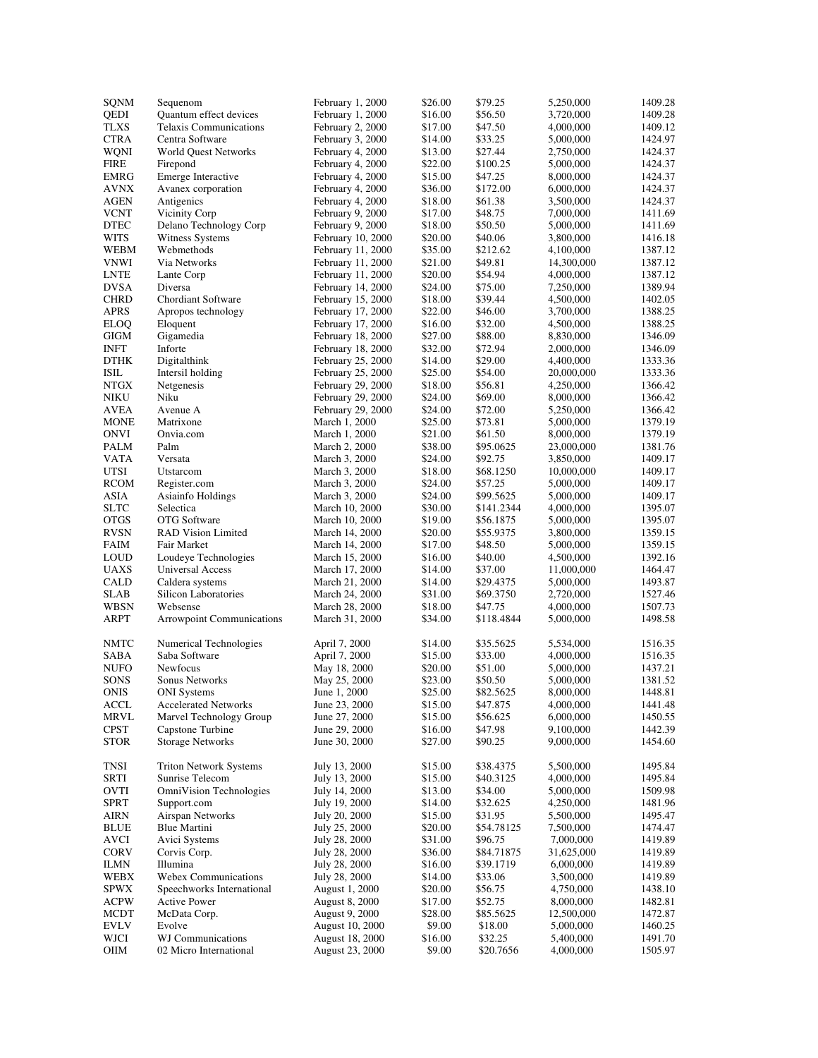| SQNM        | Sequenom                         | February 1, 2000  | \$26.00 | \$79.25    | 5,250,000  | 1409.28 |
|-------------|----------------------------------|-------------------|---------|------------|------------|---------|
| QEDI        | Quantum effect devices           | February 1, 2000  | \$16.00 | \$56.50    | 3,720,000  | 1409.28 |
| <b>TLXS</b> | <b>Telaxis Communications</b>    | February 2, 2000  | \$17.00 | \$47.50    | 4,000,000  | 1409.12 |
| <b>CTRA</b> | Centra Software                  | February 3, 2000  | \$14.00 | \$33.25    | 5,000,000  | 1424.97 |
| <b>WQNI</b> | World Quest Networks             | February 4, 2000  | \$13.00 | \$27.44    | 2,750,000  | 1424.37 |
| <b>FIRE</b> | Firepond                         | February 4, 2000  | \$22.00 | \$100.25   | 5,000,000  | 1424.37 |
| <b>EMRG</b> | Emerge Interactive               | February 4, 2000  | \$15.00 | \$47.25    | 8,000,000  | 1424.37 |
| <b>AVNX</b> | Avanex corporation               | February 4, 2000  | \$36.00 | \$172.00   | 6,000,000  | 1424.37 |
| <b>AGEN</b> | Antigenics                       | February 4, 2000  | \$18.00 | \$61.38    | 3,500,000  | 1424.37 |
| <b>VCNT</b> | Vicinity Corp                    | February 9, 2000  | \$17.00 | \$48.75    | 7,000,000  | 1411.69 |
|             | Delano Technology Corp           |                   |         |            |            |         |
| <b>DTEC</b> |                                  | February 9, 2000  | \$18.00 | \$50.50    | 5,000,000  | 1411.69 |
| <b>WITS</b> | Witness Systems                  | February 10, 2000 | \$20.00 | \$40.06    | 3,800,000  | 1416.18 |
| WEBM        | Webmethods                       | February 11, 2000 | \$35.00 | \$212.62   | 4,100,000  | 1387.12 |
| <b>VNWI</b> | Via Networks                     | February 11, 2000 | \$21.00 | \$49.81    | 14,300,000 | 1387.12 |
| <b>LNTE</b> | Lante Corp                       | February 11, 2000 | \$20.00 | \$54.94    | 4,000,000  | 1387.12 |
| <b>DVSA</b> | Diversa                          | February 14, 2000 | \$24.00 | \$75.00    | 7,250,000  | 1389.94 |
| <b>CHRD</b> | Chordiant Software               | February 15, 2000 | \$18.00 | \$39.44    | 4,500,000  | 1402.05 |
| <b>APRS</b> | Apropos technology               | February 17, 2000 | \$22.00 | \$46.00    | 3,700,000  | 1388.25 |
| <b>ELOQ</b> | Eloquent                         | February 17, 2000 | \$16.00 | \$32.00    | 4,500,000  | 1388.25 |
| <b>GIGM</b> | Gigamedia                        | February 18, 2000 | \$27.00 | \$88.00    | 8,830,000  | 1346.09 |
| <b>INFT</b> | Inforte                          | February 18, 2000 | \$32.00 | \$72.94    | 2,000,000  | 1346.09 |
| <b>DTHK</b> | Digitalthink                     | February 25, 2000 | \$14.00 | \$29.00    | 4,400,000  | 1333.36 |
| <b>ISIL</b> | Intersil holding                 | February 25, 2000 | \$25.00 | \$54.00    | 20,000,000 | 1333.36 |
| <b>NTGX</b> | Netgenesis                       | February 29, 2000 | \$18.00 | \$56.81    | 4,250,000  | 1366.42 |
|             |                                  |                   |         |            |            |         |
| NIKU        | Niku                             | February 29, 2000 | \$24.00 | \$69.00    | 8,000,000  | 1366.42 |
| <b>AVEA</b> | Avenue A                         | February 29, 2000 | \$24.00 | \$72.00    | 5,250,000  | 1366.42 |
| <b>MONE</b> | Matrixone                        | March 1, 2000     | \$25.00 | \$73.81    | 5,000,000  | 1379.19 |
| ONVI        | Onvia.com                        | March 1, 2000     | \$21.00 | \$61.50    | 8,000,000  | 1379.19 |
| PALM        | Palm                             | March 2, 2000     | \$38.00 | \$95.0625  | 23,000,000 | 1381.76 |
| <b>VATA</b> | Versata                          | March 3, 2000     | \$24.00 | \$92.75    | 3,850,000  | 1409.17 |
| <b>UTSI</b> | Utstarcom                        | March 3, 2000     | \$18.00 | \$68.1250  | 10,000,000 | 1409.17 |
| <b>RCOM</b> | Register.com                     | March 3, 2000     | \$24.00 | \$57.25    | 5,000,000  | 1409.17 |
| <b>ASIA</b> | Asiainfo Holdings                | March 3, 2000     | \$24.00 | \$99.5625  | 5,000,000  | 1409.17 |
| <b>SLTC</b> | Selectica                        | March 10, 2000    | \$30.00 | \$141.2344 | 4,000,000  | 1395.07 |
| <b>OTGS</b> | <b>OTG</b> Software              | March 10, 2000    | \$19.00 | \$56.1875  | 5,000,000  | 1395.07 |
| <b>RVSN</b> | <b>RAD Vision Limited</b>        | March 14, 2000    | \$20.00 | \$55.9375  | 3,800,000  | 1359.15 |
| FAIM        | Fair Market                      | March 14, 2000    | \$17.00 | \$48.50    | 5,000,000  | 1359.15 |
| <b>LOUD</b> | Loudeye Technologies             |                   |         | \$40.00    | 4,500,000  | 1392.16 |
|             |                                  | March 15, 2000    | \$16.00 |            |            |         |
| <b>UAXS</b> | Universal Access                 | March 17, 2000    | \$14.00 | \$37.00    | 11,000,000 | 1464.47 |
| <b>CALD</b> | Caldera systems                  | March 21, 2000    | \$14.00 | \$29.4375  | 5,000,000  | 1493.87 |
| <b>SLAB</b> | Silicon Laboratories             | March 24, 2000    | \$31.00 | \$69.3750  | 2,720,000  | 1527.46 |
| WBSN        | Websense                         | March 28, 2000    | \$18.00 | \$47.75    | 4,000,000  | 1507.73 |
| ARPT        | <b>Arrowpoint Communications</b> | March 31, 2000    | \$34.00 | \$118.4844 | 5,000,000  | 1498.58 |
| <b>NMTC</b> | Numerical Technologies           | April 7, 2000     | \$14.00 | \$35.5625  | 5,534,000  | 1516.35 |
| SABA        | Saba Software                    | April 7, 2000     | \$15.00 | \$33.00    | 4,000,000  | 1516.35 |
| <b>NUFO</b> | Newfocus                         | May 18, 2000      | \$20.00 | \$51.00    | 5,000,000  | 1437.21 |
| <b>SONS</b> | Sonus Networks                   | May 25, 2000      | \$23.00 | \$50.50    | 5,000,000  | 1381.52 |
| <b>ONIS</b> | <b>ONI</b> Systems               | June 1, 2000      | \$25.00 | \$82.5625  | 8,000,000  | 1448.81 |
|             |                                  |                   |         |            |            |         |
| ACCL        | <b>Accelerated Networks</b>      | June 23, 2000     | \$15.00 | \$47.875   | 4,000,000  | 1441.48 |
| MRVL        | Marvel Technology Group          | June 27, 2000     | \$15.00 | \$56.625   | 6,000,000  | 1450.55 |
| <b>CPST</b> | Capstone Turbine                 | June 29, 2000     | \$16.00 | \$47.98    | 9,100,000  | 1442.39 |
| <b>STOR</b> | <b>Storage Networks</b>          | June 30, 2000     | \$27.00 | \$90.25    | 9,000,000  | 1454.60 |
| <b>TNSI</b> | <b>Triton Network Systems</b>    | July 13, 2000     | \$15.00 | \$38.4375  | 5,500,000  | 1495.84 |
| <b>SRTI</b> | Sunrise Telecom                  | July 13, 2000     | \$15.00 | \$40.3125  | 4,000,000  | 1495.84 |
| <b>OVTI</b> | OmniVision Technologies          | July 14, 2000     | \$13.00 | \$34.00    | 5,000,000  | 1509.98 |
| <b>SPRT</b> | Support.com                      | July 19, 2000     | \$14.00 | \$32.625   | 4,250,000  | 1481.96 |
| <b>AIRN</b> | Airspan Networks                 | July 20, 2000     | \$15.00 | \$31.95    | 5,500,000  | 1495.47 |
| <b>BLUE</b> | Blue Martini                     | July 25, 2000     | \$20.00 | \$54.78125 | 7,500,000  | 1474.47 |
| <b>AVCI</b> | Avici Systems                    | July 28, 2000     | \$31.00 | \$96.75    | 7,000,000  | 1419.89 |
| CORV        |                                  |                   |         |            | 31,625,000 |         |
|             | Corvis Corp.                     | July 28, 2000     | \$36.00 | \$84.71875 |            | 1419.89 |
| <b>ILMN</b> | Illumina                         | July 28, 2000     | \$16.00 | \$39.1719  | 6,000,000  | 1419.89 |
| WEBX        | <b>Webex Communications</b>      | July 28, 2000     | \$14.00 | \$33.06    | 3,500,000  | 1419.89 |
| <b>SPWX</b> | Speechworks International        | August 1, 2000    | \$20.00 | \$56.75    | 4,750,000  | 1438.10 |
| <b>ACPW</b> | <b>Active Power</b>              | August 8, 2000    | \$17.00 | \$52.75    | 8,000,000  | 1482.81 |
| $\sf MCDT$  | McData Corp.                     | August 9, 2000    | \$28.00 | \$85.5625  | 12,500,000 | 1472.87 |
| <b>EVLV</b> | Evolve                           | August 10, 2000   | \$9.00  | \$18.00    | 5,000,000  | 1460.25 |
| WJCI        | WJ Communications                | August 18, 2000   | \$16.00 | \$32.25    | 5,400,000  | 1491.70 |
| OIIM        | 02 Micro International           | August 23, 2000   | \$9.00  | \$20.7656  | 4,000,000  | 1505.97 |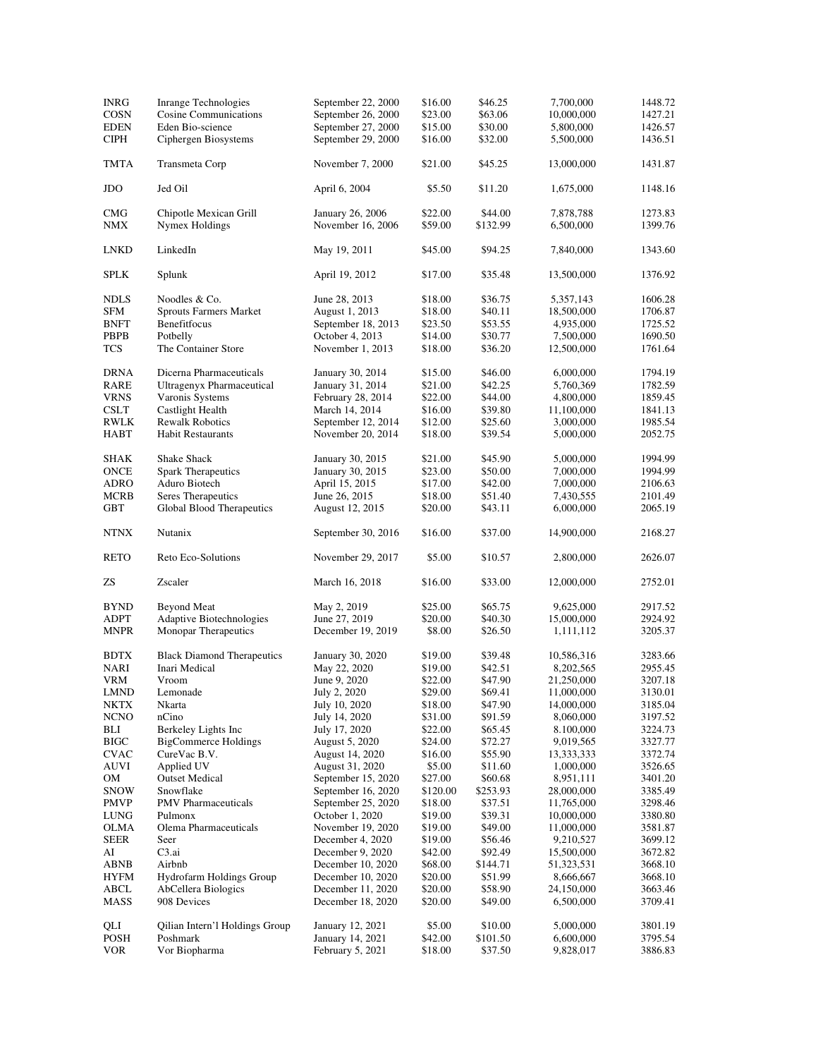| <b>INRG</b><br><b>COSN</b> | <b>Inrange Technologies</b><br><b>Cosine Communications</b> | September 22, 2000<br>September 26, 2000 | \$16.00<br>\$23.00 | \$46.25<br>\$63.06  | 7,700,000<br>10,000,000 | 1448.72<br>1427.21 |
|----------------------------|-------------------------------------------------------------|------------------------------------------|--------------------|---------------------|-------------------------|--------------------|
| <b>EDEN</b><br><b>CIPH</b> | Eden Bio-science<br>Ciphergen Biosystems                    | September 27, 2000<br>September 29, 2000 | \$15.00<br>\$16.00 | \$30.00<br>\$32.00  | 5,800,000<br>5,500,000  | 1426.57<br>1436.51 |
| TMTA                       | Transmeta Corp                                              | November 7, 2000                         | \$21.00            | \$45.25             | 13,000,000              | 1431.87            |
| JDO                        | Jed Oil                                                     | April 6, 2004                            | \$5.50             | \$11.20             | 1,675,000               | 1148.16            |
| <b>CMG</b><br>NMX          | Chipotle Mexican Grill<br><b>Nymex Holdings</b>             | January 26, 2006<br>November 16, 2006    | \$22.00<br>\$59.00 | \$44.00<br>\$132.99 | 7,878,788<br>6,500,000  | 1273.83<br>1399.76 |
| LNKD                       | LinkedIn                                                    | May 19, 2011                             | \$45.00            | \$94.25             | 7,840,000               | 1343.60            |
| <b>SPLK</b>                | Splunk                                                      | April 19, 2012                           | \$17.00            | \$35.48             | 13,500,000              | 1376.92            |
| <b>NDLS</b>                | Noodles & Co.                                               | June 28, 2013                            | \$18.00            | \$36.75             | 5,357,143               | 1606.28            |
| SFM                        | <b>Sprouts Farmers Market</b>                               | August 1, 2013                           | \$18.00            | \$40.11             | 18,500,000              | 1706.87            |
| <b>BNFT</b>                | Benefitfocus                                                | September 18, 2013                       | \$23.50            | \$53.55             | 4,935,000               | 1725.52            |
| PBPB                       | Potbelly                                                    | October 4, 2013                          | \$14.00            | \$30.77             | 7,500,000               | 1690.50            |
| <b>TCS</b>                 | The Container Store                                         | November 1, 2013                         | \$18.00            | \$36.20             | 12,500,000              | 1761.64            |
| <b>DRNA</b>                | Dicerna Pharmaceuticals                                     | January 30, 2014                         | \$15.00            | \$46.00             | 6,000,000               | 1794.19            |
| RARE                       | <b>Ultragenyx Pharmaceutical</b>                            | January 31, 2014                         | \$21.00            | \$42.25             | 5,760,369               | 1782.59            |
| <b>VRNS</b>                | Varonis Systems                                             | February 28, 2014                        | \$22.00            | \$44.00             | 4,800,000               | 1859.45            |
| <b>CSLT</b>                | Castlight Health                                            | March 14, 2014                           | \$16.00            | \$39.80             | 11,100,000              | 1841.13            |
| <b>RWLK</b>                | <b>Rewalk Robotics</b>                                      | September 12, 2014                       | \$12.00            | \$25.60             | 3,000,000               | 1985.54            |
| <b>HABT</b>                | <b>Habit Restaurants</b>                                    | November 20, 2014                        | \$18.00            | \$39.54             | 5,000,000               | 2052.75            |
| SHAK                       | Shake Shack                                                 | January 30, 2015                         | \$21.00            | \$45.90             | 5,000,000               | 1994.99            |
| ONCE                       | <b>Spark Therapeutics</b>                                   | January 30, 2015                         | \$23.00            | \$50.00             | 7,000,000               | 1994.99            |
| <b>ADRO</b>                | Aduro Biotech                                               | April 15, 2015                           | \$17.00            | \$42.00             | 7,000,000               | 2106.63            |
| <b>MCRB</b>                | Seres Therapeutics                                          | June 26, 2015                            | \$18.00            | \$51.40             | 7,430,555               | 2101.49            |
| <b>GBT</b>                 | Global Blood Therapeutics                                   | August 12, 2015                          | \$20.00            | \$43.11             | 6,000,000               | 2065.19            |
| NTNX                       | Nutanix                                                     | September 30, 2016                       | \$16.00            | \$37.00             | 14,900,000              | 2168.27            |
| <b>RETO</b>                | Reto Eco-Solutions                                          | November 29, 2017                        | \$5.00             | \$10.57             | 2,800,000               | 2626.07            |
| ZS                         | Zscaler                                                     | March 16, 2018                           | \$16.00            | \$33.00             | 12,000,000              | 2752.01            |
| <b>BYND</b>                | <b>Beyond Meat</b>                                          | May 2, 2019                              | \$25.00            | \$65.75             | 9,625,000               | 2917.52            |
| <b>ADPT</b>                | Adaptive Biotechnologies                                    | June 27, 2019                            | \$20.00            | \$40.30             | 15,000,000              | 2924.92            |
| <b>MNPR</b>                | Monopar Therapeutics                                        | December 19, 2019                        | \$8.00             | \$26.50             | 1,111,112               | 3205.37            |
| <b>BDTX</b>                | <b>Black Diamond Therapeutics</b>                           | January 30, 2020                         | \$19.00            | \$39.48             | 10,586,316              | 3283.66            |
| NARI                       | Inari Medical                                               | May 22, 2020                             | \$19.00            | \$42.51             | 8,202,565               | 2955.45            |
| <b>VRM</b>                 | Vroom                                                       | June 9, 2020                             | \$22.00            | \$47.90             | 21,250,000              | 3207.18            |
| <b>LMND</b>                | Lemonade                                                    | July 2, 2020                             | \$29.00            | \$69.41             | 11,000,000              | 3130.01            |
| NKTX                       | Nkarta                                                      | July 10, 2020                            | \$18.00            | \$47.90             | 14,000,000              | 3185.04            |
| <b>NCNO</b>                | nCino                                                       | July 14, 2020                            | \$31.00            | \$91.59             | 8,060,000               | 3197.52            |
| BLI                        | Berkeley Lights Inc                                         | July 17, 2020                            | \$22.00            | \$65.45             | 8.100,000               | 3224.73            |
| <b>BIGC</b>                | <b>BigCommerce Holdings</b>                                 | August 5, 2020                           | \$24.00            | \$72.27             | 9,019,565               | 3327.77            |
| <b>CVAC</b>                | CureVac B.V.                                                | August 14, 2020                          | \$16.00            | \$55.90             | 13,333,333              | 3372.74            |
| AUVI                       | Applied UV                                                  | August 31, 2020                          | \$5.00             | \$11.60             | 1,000,000               | 3526.65            |
| OМ                         | <b>Outset Medical</b>                                       | September 15, 2020                       | \$27.00            | \$60.68             | 8,951,111               | 3401.20            |
| <b>SNOW</b>                | Snowflake                                                   | September 16, 2020                       | \$120.00           | \$253.93            | 28,000,000              | 3385.49            |
| PMVP                       | <b>PMV</b> Pharmaceuticals                                  | September 25, 2020                       | \$18.00            | \$37.51             | 11,765,000              | 3298.46            |
| LUNG                       | Pulmonx                                                     | October 1, 2020                          | \$19.00            | \$39.31             | 10,000,000              | 3380.80            |
| OLMA                       | Olema Pharmaceuticals                                       | November 19, 2020                        | \$19.00            | \$49.00             | 11,000,000              | 3581.87            |
| SEER                       | Seer                                                        | December 4, 2020                         | \$19.00            | \$56.46             | 9,210,527               | 3699.12            |
| AI                         | C3.ai                                                       | December 9, 2020                         | \$42.00            | \$92.49             | 15,500,000              | 3672.82            |
| ABNB                       | Airbnb                                                      | December 10, 2020                        | \$68.00            | \$144.71            | 51,323,531              | 3668.10            |
| <b>HYFM</b>                | Hydrofarm Holdings Group                                    | December 10, 2020                        | \$20.00            | \$51.99             | 8,666,667               | 3668.10            |
| ABCL                       | AbCellera Biologics                                         | December 11, 2020                        | \$20.00            | \$58.90             | 24,150,000              | 3663.46            |
| MASS                       | 908 Devices                                                 | December 18, 2020                        | \$20.00            | \$49.00             | 6,500,000               | 3709.41            |
| QLI                        | Qilian Intern'l Holdings Group                              | January 12, 2021                         | \$5.00             | \$10.00             | 5,000,000               | 3801.19            |
| POSH                       | Poshmark                                                    | January 14, 2021                         | \$42.00            | \$101.50            | 6,600,000               | 3795.54            |
| <b>VOR</b>                 | Vor Biopharma                                               | February 5, 2021                         | \$18.00            | \$37.50             | 9,828,017               | 3886.83            |
|                            |                                                             |                                          |                    |                     |                         |                    |